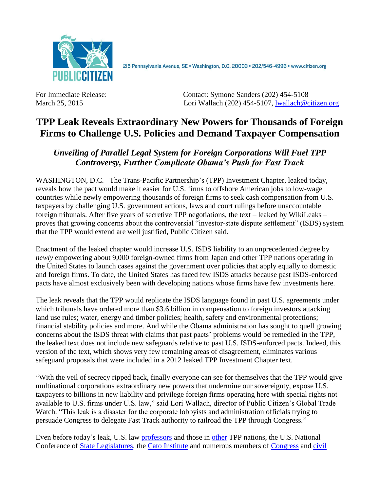

2I5 Pennsylvania Avenue, SE · Washington, D.C. 20003 · 202/546-4996 · www.citizen.org

For Immediate Release: Contact: Symone Sanders (202) 454-5108 March 25, 2015 Lori Wallach (202) 454-5107, [lwallach@citizen.org](mailto:lwallach@citizen.org)

## **TPP Leak Reveals Extraordinary New Powers for Thousands of Foreign Firms to Challenge U.S. Policies and Demand Taxpayer Compensation**

*Unveiling of Parallel Legal System for Foreign Corporations Will Fuel TPP Controversy, Further Complicate Obama's Push for Fast Track*

WASHINGTON, D.C.– The Trans-Pacific Partnership's (TPP) Investment Chapter, leaked today, reveals how the pact would make it easier for U.S. firms to offshore American jobs to low-wage countries while newly empowering thousands of foreign firms to seek cash compensation from U.S. taxpayers by challenging U.S. government actions, laws and court rulings before unaccountable foreign tribunals. After five years of secretive TPP negotiations, the text – leaked by WikiLeaks – proves that growing concerns about the controversial "investor-state dispute settlement" (ISDS) system that the TPP would extend are well justified, Public Citizen said.

Enactment of the leaked chapter would increase U.S. ISDS liability to an unprecedented degree by *newly* empowering about 9,000 foreign-owned firms from Japan and other TPP nations operating in the United States to launch cases against the government over policies that apply equally to domestic and foreign firms. To date, the United States has faced few ISDS attacks because past ISDS-enforced pacts have almost exclusively been with developing nations whose firms have few investments here.

The leak reveals that the TPP would replicate the ISDS language found in past U.S. agreements under which tribunals have ordered more than \$3.6 billion in compensation to foreign investors attacking land use rules; water, energy and timber policies; health, safety and environmental protections; financial stability policies and more. And while the Obama administration has sought to quell growing concerns about the ISDS threat with claims that past pacts' problems would be remedied in the TPP, the leaked text does not include new safeguards relative to past U.S. ISDS-enforced pacts. Indeed, this version of the text, which shows very few remaining areas of disagreement, eliminates various safeguard proposals that were included in a 2012 leaked TPP Investment Chapter text.

"With the veil of secrecy ripped back, finally everyone can see for themselves that the TPP would give multinational corporations extraordinary new powers that undermine our sovereignty, expose U.S. taxpayers to billions in new liability and privilege foreign firms operating here with special rights not available to U.S. firms under U.S. law," said Lori Wallach, director of Public Citizen's Global Trade Watch. "This leak is a disaster for the corporate lobbyists and administration officials trying to persuade Congress to delegate Fast Track authority to railroad the TPP through Congress."

Even before today's leak, U.S. law [professors](http://www.afj.org/press-room/press-releases/more-than-100-legal-scholars-call-on-congress-administration-to-protect-democracy-and-sovereignty-in-u-s-trade-deals) and those in [other](https://tpplegal.wordpress.com/open-letter/) TPP nations, the U.S. National Conference of [State Legislatures,](http://www.ncsl.org/ncsl-in-dc/task-forces/policies-labor-and-economic-development.aspx#trade) the [Cato Institute](http://www.cato.org/publications/free-trade-bulletin/compromise-advance-trade-agenda-purge-negotiations-investor-state) and numerous members of [Congress](http://www.washingtonpost.com/opinions/kill-the-dispute-settlement-language-in-the-trans-pacific-partnership/2015/02/25/ec7705a2-bd1e-11e4-b274-e5209a3bc9a9_story.html) and [civil](http://www.citizen.org/documents/letter-froman-ISDS-september-2014.pdf)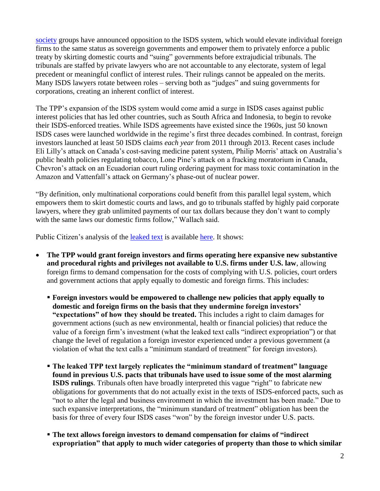[society](http://www.citizen.org/documents/letter-froman-ISDS-september-2014.pdf) groups have announced opposition to the ISDS system, which would elevate individual foreign firms to the same status as sovereign governments and empower them to privately enforce a public treaty by skirting domestic courts and "suing" governments before extrajudicial tribunals. The tribunals are staffed by private lawyers who are not accountable to any electorate, system of legal precedent or meaningful conflict of interest rules. Their rulings cannot be appealed on the merits. Many ISDS lawyers rotate between roles – serving both as "judges" and suing governments for corporations, creating an inherent conflict of interest.

The TPP's expansion of the ISDS system would come amid a surge in ISDS cases against public interest policies that has led other countries, such as South Africa and Indonesia, to begin to revoke their ISDS-enforced treaties. While ISDS agreements have existed since the 1960s, just 50 known ISDS cases were launched worldwide in the regime's first three decades combined. In contrast, foreign investors launched at least 50 ISDS claims *each year* from 2011 through 2013. Recent cases include Eli Lilly's attack on Canada's cost-saving medicine patent system, Philip Morris' attack on Australia's public health policies regulating tobacco, Lone Pine's attack on a fracking moratorium in Canada, Chevron's attack on an Ecuadorian court ruling ordering payment for mass toxic contamination in the Amazon and Vattenfall's attack on Germany's phase-out of nuclear power.

"By definition, only multinational corporations could benefit from this parallel legal system, which empowers them to skirt domestic courts and laws, and go to tribunals staffed by highly paid corporate lawyers, where they grab unlimited payments of our tax dollars because they don't want to comply with the same laws our domestic firms follow," Wallach said.

Public Citizen's analysis of the [leaked text](https://wikileaks.org/tpp-investment) is available [here.](http://citizen.org/documents/tpp-investment-leak-2015.pdf) It shows:

- **The TPP would grant foreign investors and firms operating here expansive new substantive and procedural rights and privileges not available to U.S. firms under U.S. law**, allowing foreign firms to demand compensation for the costs of complying with U.S. policies, court orders and government actions that apply equally to domestic and foreign firms. This includes:
	- **Foreign investors would be empowered to challenge new policies that apply equally to domestic and foreign firms on the basis that they undermine foreign investors' "expectations" of how they should be treated.** This includes a right to claim damages for government actions (such as new environmental, health or financial policies) that reduce the value of a foreign firm's investment (what the leaked text calls "indirect expropriation") or that change the level of regulation a foreign investor experienced under a previous government (a violation of what the text calls a "minimum standard of treatment" for foreign investors).
	- **The leaked TPP text largely replicates the "minimum standard of treatment" language found in previous U.S. pacts that tribunals have used to issue some of the most alarming ISDS rulings**. Tribunals often have broadly interpreted this vague "right" to fabricate new obligations for governments that do not actually exist in the texts of ISDS-enforced pacts, such as "not to alter the legal and business environment in which the investment has been made." Due to such expansive interpretations, the "minimum standard of treatment" obligation has been the basis for three of every four ISDS cases "won" by the foreign investor under U.S. pacts.
	- **The text allows foreign investors to demand compensation for claims of "indirect expropriation" that apply to much wider categories of property than those to which similar**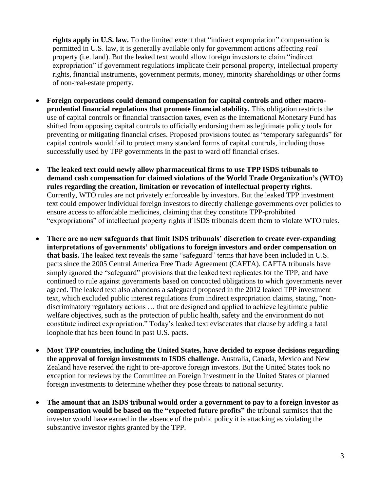**rights apply in U.S. law.** To the limited extent that "indirect expropriation" compensation is permitted in U.S. law, it is generally available only for government actions affecting *real* property (i.e. land). But the leaked text would allow foreign investors to claim "indirect expropriation" if government regulations implicate their personal property, intellectual property rights, financial instruments, government permits, money, minority shareholdings or other forms of non-real-estate property.

- **Foreign corporations could demand compensation for capital controls and other macroprudential financial regulations that promote financial stability.** This obligation restricts the use of capital controls or financial transaction taxes, even as the International Monetary Fund has shifted from opposing capital controls to officially endorsing them as legitimate policy tools for preventing or mitigating financial crises. Proposed provisions touted as "temporary safeguards" for capital controls would fail to protect many standard forms of capital controls, including those successfully used by TPP governments in the past to ward off financial crises.
- **The leaked text could newly allow pharmaceutical firms to use TPP ISDS tribunals to demand cash compensation for claimed violations of the World Trade Organization's (WTO) rules regarding the creation, limitation or revocation of intellectual property rights**. Currently, WTO rules are not privately enforceable by investors. But the leaked TPP investment text could empower individual foreign investors to directly challenge governments over policies to ensure access to affordable medicines, claiming that they constitute TPP-prohibited "expropriations" of intellectual property rights if ISDS tribunals deem them to violate WTO rules.
- **There are no new safeguards that limit ISDS tribunals' discretion to create ever-expanding interpretations of governments' obligations to foreign investors and order compensation on that basis.** The leaked text reveals the same "safeguard" terms that have been included in U.S. pacts since the 2005 Central America Free Trade Agreement (CAFTA). CAFTA tribunals have simply ignored the "safeguard" provisions that the leaked text replicates for the TPP, and have continued to rule against governments based on concocted obligations to which governments never agreed. The leaked text also abandons a safeguard proposed in the 2012 leaked TPP investment text, which excluded public interest regulations from indirect expropriation claims, stating, "nondiscriminatory regulatory actions … that are designed and applied to achieve legitimate public welfare objectives, such as the protection of public health, safety and the environment do not constitute indirect expropriation." Today's leaked text eviscerates that clause by adding a fatal loophole that has been found in past U.S. pacts.
- **Most TPP countries, including the United States, have decided to expose decisions regarding the approval of foreign investments to ISDS challenge.** Australia, Canada, Mexico and New Zealand have reserved the right to pre-approve foreign investors. But the United States took no exception for reviews by the Committee on Foreign Investment in the United States of planned foreign investments to determine whether they pose threats to national security.
- **The amount that an ISDS tribunal would order a government to pay to a foreign investor as compensation would be based on the "expected future profits"** the tribunal surmises that the investor would have earned in the absence of the public policy it is attacking as violating the substantive investor rights granted by the TPP.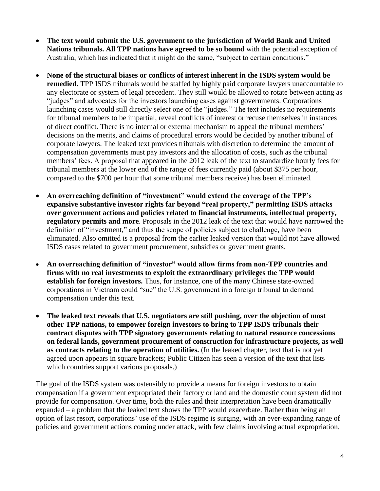- **The text would submit the U.S. government to the jurisdiction of World Bank and United Nations tribunals. All TPP nations have agreed to be so bound** with the potential exception of Australia, which has indicated that it might do the same, "subject to certain conditions."
- **None of the structural biases or conflicts of interest inherent in the ISDS system would be remedied.** TPP ISDS tribunals would be staffed by highly paid corporate lawyers unaccountable to any electorate or system of legal precedent. They still would be allowed to rotate between acting as "judges" and advocates for the investors launching cases against governments. Corporations launching cases would still directly select one of the "judges." The text includes no requirements for tribunal members to be impartial, reveal conflicts of interest or recuse themselves in instances of direct conflict. There is no internal or external mechanism to appeal the tribunal members' decisions on the merits, and claims of procedural errors would be decided by another tribunal of corporate lawyers. The leaked text provides tribunals with discretion to determine the amount of compensation governments must pay investors and the allocation of costs, such as the tribunal members' fees. A proposal that appeared in the 2012 leak of the text to standardize hourly fees for tribunal members at the lower end of the range of fees currently paid (about \$375 per hour, compared to the \$700 per hour that some tribunal members receive) has been eliminated.
- **An overreaching definition of "investment" would extend the coverage of the TPP's expansive substantive investor rights far beyond "real property," permitting ISDS attacks over government actions and policies related to financial instruments, intellectual property, regulatory permits and more**. Proposals in the 2012 leak of the text that would have narrowed the definition of "investment," and thus the scope of policies subject to challenge, have been eliminated. Also omitted is a proposal from the earlier leaked version that would not have allowed ISDS cases related to government procurement, subsidies or government grants.
- **An overreaching definition of "investor" would allow firms from non-TPP countries and firms with no real investments to exploit the extraordinary privileges the TPP would establish for foreign investors.** Thus, for instance, one of the many Chinese state-owned corporations in Vietnam could "sue" the U.S. government in a foreign tribunal to demand compensation under this text.
- **The leaked text reveals that U.S. negotiators are still pushing, over the objection of most other TPP nations, to empower foreign investors to bring to TPP ISDS tribunals their contract disputes with TPP signatory governments relating to natural resource concessions on federal lands, government procurement of construction for infrastructure projects, as well as contracts relating to the operation of utilities.** (In the leaked chapter, text that is not yet agreed upon appears in square brackets; Public Citizen has seen a version of the text that lists which countries support various proposals.)

The goal of the ISDS system was ostensibly to provide a means for foreign investors to obtain compensation if a government expropriated their factory or land and the domestic court system did not provide for compensation. Over time, both the rules and their interpretation have been dramatically expanded – a problem that the leaked text shows the TPP would exacerbate. Rather than being an option of last resort, corporations' use of the ISDS regime is surging, with an ever-expanding range of policies and government actions coming under attack, with few claims involving actual expropriation.